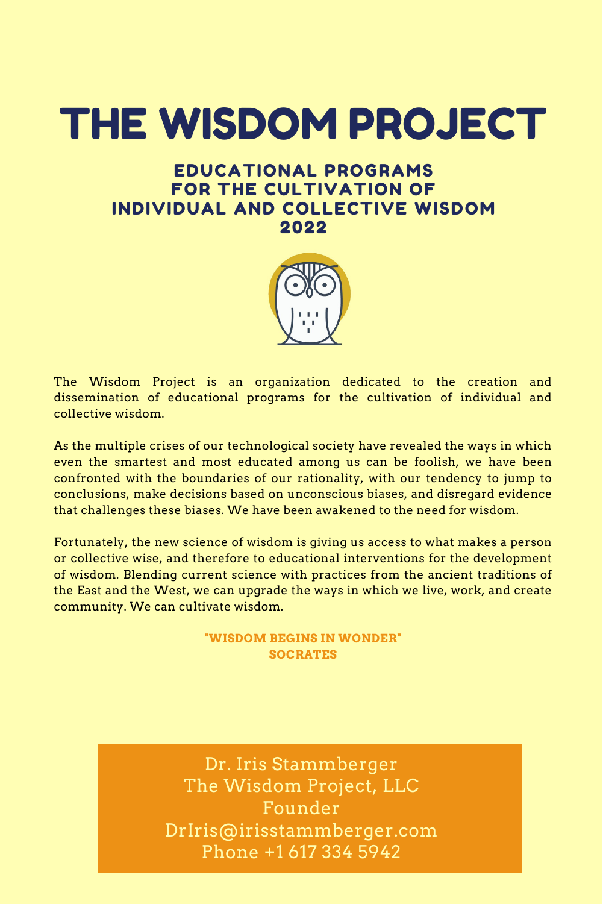The Wisdom Project is an organization dedicated to the creation and dissemination of educational programs for the cultivation of individual and collective wisdom.

As the multiple crises of our technological society have revealed the ways in which even the smartest and most educated among us can be foolish, we have been confronted with the boundaries of our rationality, with our tendency to jump to conclusions, make decisions based on unconscious biases, and disregard evidence that challenges these biases. We have been awakened to the need for wisdom.

Fortunately, the new science of wisdom is giving us access to what makes a person or collective wise, and therefore to educational interventions for the development of wisdom. Blending current science with practices from the ancient traditions of the East and the West, we can upgrade the ways in which we live, work, and create community. We can cultivate wisdom.

### **"WISDOM BEGINS IN WONDER" SOCRATES**

# THE WISDOM PROJECT

Dr. Iris Stammberger The Wisdom Project, LLC Founder DrIris@irisstammberger.com Phone +1 617 334 5942

## EDUCATIONAL PROGRAMS FOR THE CULTIVATION OF INDIVIDUAL AND COLLECTIVE WISDOM 2022